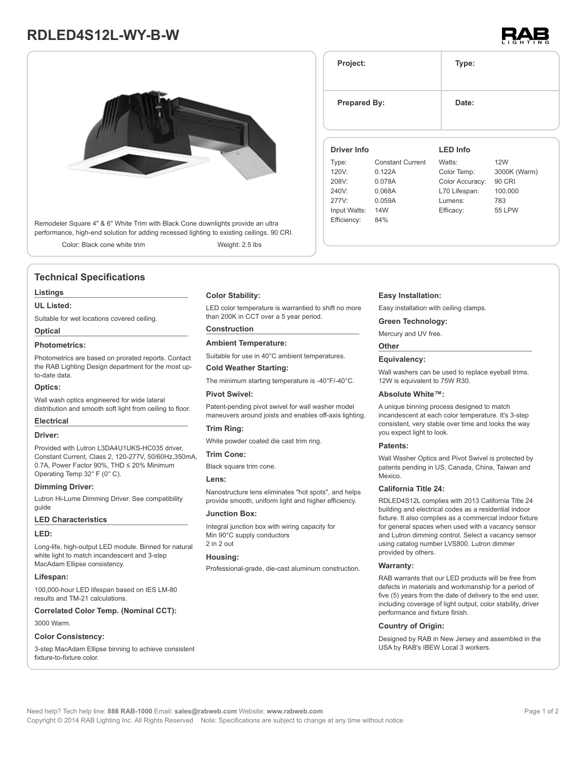# **RDLED4S12L-WY-B-W**



Remodeler Square 4" & 6" White Trim with Black Cone downlights provide an ultra performance, high-end solution for adding recessed lighting to existing ceilings. 90 CRI.

Color: Black cone white trim Weight: 2.5 lbs

# **Technical Specifications**

# **Listings**

# **UL Listed:**

Suitable for wet locations covered ceiling.

# **Optical**

# **Photometrics:**

Photometrics are based on prorated reports. Contact the RAB Lighting Design department for the most upto-date data.

### **Optics:**

Wall wash optics engineered for wide lateral distribution and smooth soft light from ceiling to floor.

# **Electrical**

### **Driver:**

Provided with Lutron L3DA4U1UKS-HC035 driver, Constant Current, Class 2, 120-277V, 50/60Hz,350mA, 0.7A, Power Factor 90%, THD ≤ 20% Minimum Operating Temp 32° F (0° C).

# **Dimming Driver:**

Lutron Hi-Lume Dimming Driver. See compatibility guide

# **LED Characteristics**

#### **LED:**

Long-life, high-output LED module. Binned for natural white light to match incandescent and 3-step MacAdam Ellipse consistency.

# **Lifespan:**

100,000-hour LED lifespan based on IES LM-80 results and TM-21 calculations.

**Correlated Color Temp. (Nominal CCT):**

# 3000 Warm.

# **Color Consistency:**

3-step MacAdam Ellipse binning to achieve consistent fixture-to-fixture color.

# **Color Stability:**

LED color temperature is warrantied to shift no more than 200K in CCT over a 5 year period.

# **Construction**

**Ambient Temperature:**

Suitable for use in 40°C ambient temperatures.

# **Cold Weather Starting:**

The minimum starting temperature is -40°F/-40°C.

# **Pivot Swivel:**

Patent-pending pivot swivel for wall washer model maneuvers around joists and enables off-axis lighting.

# **Trim Ring:**

White powder coated die cast trim ring.

### **Trim Cone:**

Black square trim cone.

#### **Lens:**

Nanostructure lens eliminates "hot spots", and helps provide smooth, uniform light and higher efficiency.

### **Junction Box:**

Integral junction box with wiring capacity for Min 90°C supply conductors 2 in 2 out

### **Housing:**

Professional-grade, die-cast aluminum construction.

## **Easy Installation:**

277V: 0.059A Input Watts: 14W Efficiency: 84%

Easy installation with ceiling clamps.

# **Green Technology:**

Mercury and UV free.

# **Other**

# **Equivalency:**

Wall washers can be used to replace eyeball trims. 12W is equivalent to 75W R30.

### **Absolute White™:**

A unique binning process designed to match incandescent at each color temperature. It's 3-step consistent, very stable over time and looks the way you expect light to look.

### **Patents:**

Wall Washer Optics and Pivot Swivel is protected by patents pending in US, Canada, China, Taiwan and Mexico.

# **California Title 24:**

RDLED4S12L complies with 2013 California Title 24 building and electrical codes as a residential indoor fixture. It also complies as a commercial indoor fixture for general spaces when used with a vacancy sensor and Lutron dimming control. Select a vacancy sensor using catalog number LVS800. Lutron dimmer provided by others.

#### **Warranty:**

RAB warrants that our LED products will be free from defects in materials and workmanship for a period of five (5) years from the date of delivery to the end user, including coverage of light output, color stability, driver performance and fixture finish.

# **Country of Origin:**

Designed by RAB in New Jersey and assembled in the USA by RAB's IBEW Local 3 workers.

**Prepared By:** Date: **Driver Info** Type: Constant Current 120V: 0.122A 208V: 0.078A 240V: 0.068A **LED Info** Watts: 12W Color Temp: 3000K (Warm) Color Accuracy: 90 CRI L70 Lifespan: 100,000

> Lumens: 783 Efficacy: 55 LPW

**Project: Type:**